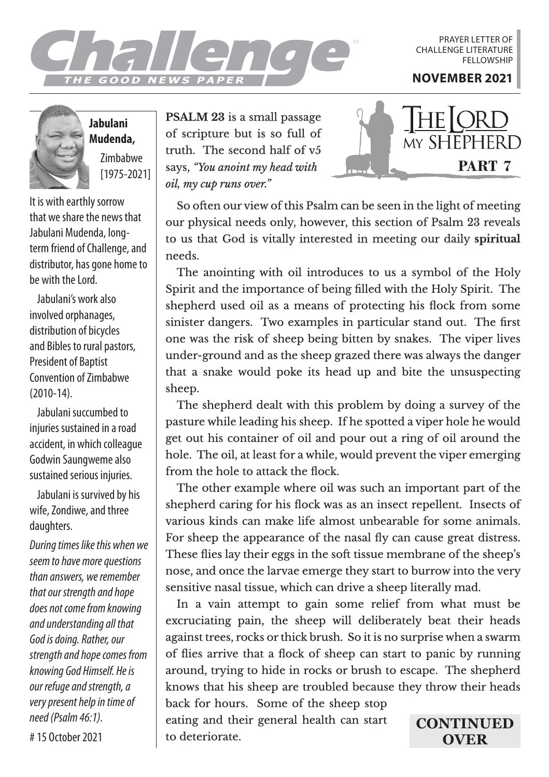

PRAYER LETTER OF CHALLENGE LITERATURE **FELLOWSHIP** 

**Jabulani Mudenda,** Zimbabwe [1975-2021]

It is with earthly sorrow that we share the news that Jabulani Mudenda, longterm friend of Challenge, and distributor, has gone home to be with the Lord.

Jabulani's work also involved orphanages, distribution of bicycles and Bibles to rural pastors, President of Baptist Convention of Zimbabwe (2010-14).

Jabulani succumbed to injuries sustained in a road accident, in which colleague Godwin Saungweme also sustained serious injuries.

Jabulani is survived by his wife, Zondiwe, and three daughters.

*During times like this when we seem to have more questions than answers, we remember that our strength and hope does not come from knowing and understanding all that God is doing. Rather, our strength and hope comes from knowing God Himself. He is our refuge and strength, a very present help in time of need (Psalm 46:1).*

**PSALM 23** is a small passage of scripture but is so full of truth. The second half of v5 says, *"You anoint my head with oil, my cup runs over."* 



So often our view of this Psalm can be seen in the light of meeting our physical needs only, however, this section of Psalm 23 reveals to us that God is vitally interested in meeting our daily **spiritual**  needs.

The anointing with oil introduces to us a symbol of the Holy Spirit and the importance of being filled with the Holy Spirit. The shepherd used oil as a means of protecting his flock from some sinister dangers. Two examples in particular stand out. The first one was the risk of sheep being bitten by snakes. The viper lives under-ground and as the sheep grazed there was always the danger that a snake would poke its head up and bite the unsuspecting sheep.

The shepherd dealt with this problem by doing a survey of the pasture while leading his sheep. If he spotted a viper hole he would get out his container of oil and pour out a ring of oil around the hole. The oil, at least for a while, would prevent the viper emerging from the hole to attack the flock.

The other example where oil was such an important part of the shepherd caring for his flock was as an insect repellent. Insects of various kinds can make life almost unbearable for some animals. For sheep the appearance of the nasal fly can cause great distress. These flies lay their eggs in the soft tissue membrane of the sheep's nose, and once the larvae emerge they start to burrow into the very sensitive nasal tissue, which can drive a sheep literally mad.

In a vain attempt to gain some relief from what must be excruciating pain, the sheep will deliberately beat their heads against trees, rocks or thick brush. So it is no surprise when a swarm of flies arrive that a flock of sheep can start to panic by running around, trying to hide in rocks or brush to escape. The shepherd knows that his sheep are troubled because they throw their heads

back for hours. Some of the sheep stop eating and their general health can start to deteriorate.

**CONTINUED OVER**